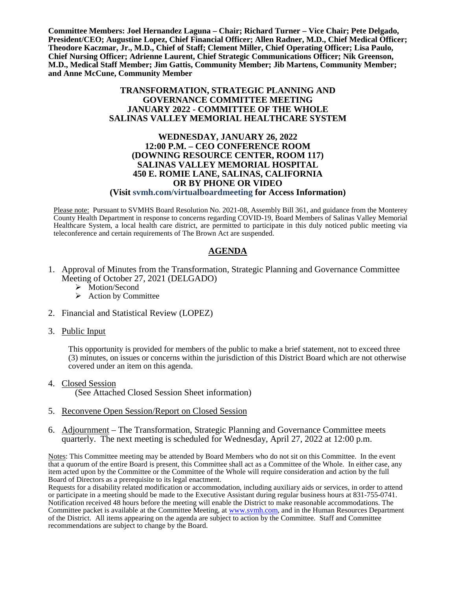**Committee Members: Joel Hernandez Laguna – Chair; Richard Turner – Vice Chair; Pete Delgado, President/CEO; Augustine Lopez, Chief Financial Officer; Allen Radner, M.D., Chief Medical Officer; Theodore Kaczmar, Jr., M.D., Chief of Staff; Clement Miller, Chief Operating Officer; Lisa Paulo, Chief Nursing Officer; Adrienne Laurent, Chief Strategic Communications Officer; Nik Greenson, M.D., Medical Staff Member; Jim Gattis, Community Member; Jib Martens, Community Member; and Anne McCune, Community Member**

#### **TRANSFORMATION, STRATEGIC PLANNING AND GOVERNANCE COMMITTEE MEETING JANUARY 2022 - COMMITTEE OF THE WHOLE SALINAS VALLEY MEMORIAL HEALTHCARE SYSTEM**

### **WEDNESDAY, JANUARY 26, 2022 12:00 P.M. – CEO CONFERENCE ROOM (DOWNING RESOURCE CENTER, ROOM 117) SALINAS VALLEY MEMORIAL HOSPITAL 450 E. ROMIE LANE, SALINAS, CALIFORNIA OR BY PHONE OR VIDEO**

## **(Visit svmh.com/virtualboardmeeting for Access Information)**

Please note: Pursuant to SVMHS Board Resolution No. 2021-08, Assembly Bill 361, and guidance from the Monterey County Health Department in response to concerns regarding COVID-19, Board Members of Salinas Valley Memorial Healthcare System, a local health care district, are permitted to participate in this duly noticed public meeting via teleconference and certain requirements of The Brown Act are suspended.

#### **AGENDA**

- 1. Approval of Minutes from the Transformation, Strategic Planning and Governance Committee Meeting of October 27, 2021 (DELGADO)
	- > Motion/Second
	- $\triangleright$  Action by Committee
- 2. Financial and Statistical Review (LOPEZ)

#### 3. Public Input

This opportunity is provided for members of the public to make a brief statement, not to exceed three (3) minutes, on issues or concerns within the jurisdiction of this District Board which are not otherwise covered under an item on this agenda.

4. Closed Session

(See Attached Closed Session Sheet information)

- 5. Reconvene Open Session/Report on Closed Session
- 6. Adjournment The Transformation, Strategic Planning and Governance Committee meets quarterly. The next meeting is scheduled for Wednesday, April 27, 2022 at 12:00 p.m.

Notes: This Committee meeting may be attended by Board Members who do not sit on this Committee. In the event that a quorum of the entire Board is present, this Committee shall act as a Committee of the Whole. In either case, any item acted upon by the Committee or the Committee of the Whole will require consideration and action by the full Board of Directors as a prerequisite to its legal enactment.

Requests for a disability related modification or accommodation, including auxiliary aids or services, in order to attend or participate in a meeting should be made to the Executive Assistant during regular business hours at 831-755-0741. Notification received 48 hours before the meeting will enable the District to make reasonable accommodations. The Committee packet is available at the Committee Meeting, at [www.svmh.com,](http://www.svmh.com/) and in the Human Resources Department of the District. All items appearing on the agenda are subject to action by the Committee. Staff and Committee recommendations are subject to change by the Board.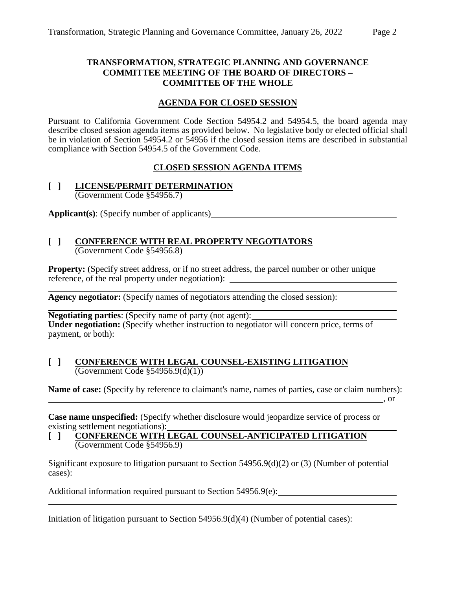## **TRANSFORMATION, STRATEGIC PLANNING AND GOVERNANCE COMMITTEE MEETING OF THE BOARD OF DIRECTORS – COMMITTEE OF THE WHOLE**

## **AGENDA FOR CLOSED SESSION**

Pursuant to California Government Code Section 54954.2 and 54954.5, the board agenda may describe closed session agenda items as provided below. No legislative body or elected official shall be in violation of Section 54954.2 or 54956 if the closed session items are described in substantial compliance with Section 54954.5 of the Government Code.

## **CLOSED SESSION AGENDA ITEMS**

# **[ ] LICENSE/PERMIT DETERMINATION**

(Government Code §54956.7)

**Applicant(s)**: (Specify number of applicants)

#### **[ ] CONFERENCE WITH REAL PROPERTY NEGOTIATORS** (Government Code §54956.8)

**Property:** (Specify street address, or if no street address, the parcel number or other unique **Property:** (specify such address, or the subsequence, of the real property under negotiation):

**Agency negotiator:** (Specify names of negotiators attending the closed session):

**Negotiating parties**: (Specify name of party (not agent): Under negotiation: (Specify whether instruction to negotiator will concern price, terms of payment, or both):

### **[ ] CONFERENCE WITH LEGAL COUNSEL-EXISTING LITIGATION** (Government Code §54956.9(d)(1))

**Name of case:** (Specify by reference to claimant's name, names of parties, case or claim numbers):

, or

**Case name unspecified:** (Specify whether disclosure would jeopardize service of process or existing settlement negotiations):

## **[ ] CONFERENCE WITH LEGAL COUNSEL-ANTICIPATED LITIGATION** (Government Code §54956.9)

Significant exposure to litigation pursuant to Section 54956.9(d)(2) or (3) (Number of potential cases):

Additional information required pursuant to Section 54956.9(e):

Initiation of litigation pursuant to Section 54956.9(d)(4) (Number of potential cases):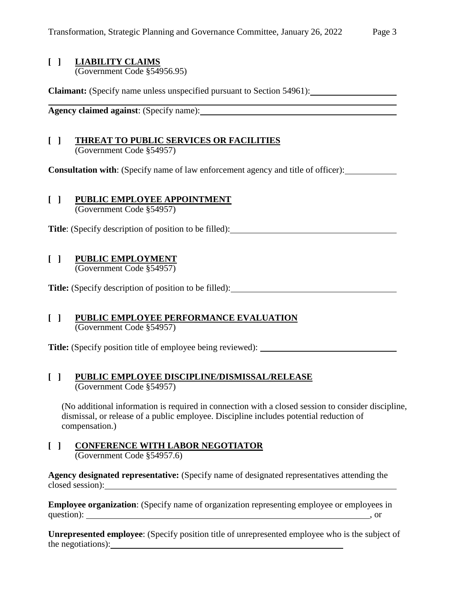## **[ ] LIABILITY CLAIMS**

(Government Code §54956.95)

**Claimant:** (Specify name unless unspecified pursuant to Section 54961):

**Agency claimed against**: (Specify name):

#### **[ ] THREAT TO PUBLIC SERVICES OR FACILITIES** (Government Code §54957)

**Consultation with**: (Specify name of law enforcement agency and title of officer):

# **[ ] PUBLIC EMPLOYEE APPOINTMENT**

(Government Code §54957)

**Title**: (Specify description of position to be filled):

# **[ ] PUBLIC EMPLOYMENT**

(Government Code §54957)

**Title:** (Specify description of position to be filled):

#### **[ ] PUBLIC EMPLOYEE PERFORMANCE EVALUATION** (Government Code §54957)

**Title:** (Specify position title of employee being reviewed):

### **[ ] PUBLIC EMPLOYEE DISCIPLINE/DISMISSAL/RELEASE** (Government Code §54957)

(No additional information is required in connection with a closed session to consider discipline, dismissal, or release of a public employee. Discipline includes potential reduction of compensation.)

# **[ ] CONFERENCE WITH LABOR NEGOTIATOR**

(Government Code §54957.6)

**Agency designated representative:** (Specify name of designated representatives attending the closed session):

**Employee organization**: (Specify name of organization representing employee or employees in question): such a set of the set of the set of the set of the set of the set of the set of the set of the set of the set of the set of the set of the set of the set of the set of the set of the set of the set of the set of

**Unrepresented employee**: (Specify position title of unrepresented employee who is the subject of the negotiations):